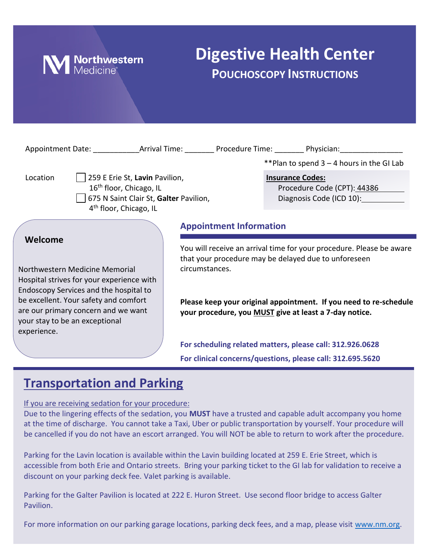

# **Digestive Health Center POUCHOSCOPY INSTRUCTIONS**

|                                                                                                                                                                                                                                                                   |                                                                                                             |                                        |                                                                                                                                                                                                                                                                               | Appointment Date: Arrival Time: Procedure Time: Physician:                                                              |
|-------------------------------------------------------------------------------------------------------------------------------------------------------------------------------------------------------------------------------------------------------------------|-------------------------------------------------------------------------------------------------------------|----------------------------------------|-------------------------------------------------------------------------------------------------------------------------------------------------------------------------------------------------------------------------------------------------------------------------------|-------------------------------------------------------------------------------------------------------------------------|
|                                                                                                                                                                                                                                                                   |                                                                                                             |                                        |                                                                                                                                                                                                                                                                               | **Plan to spend 3 - 4 hours in the GI Lab                                                                               |
| Location                                                                                                                                                                                                                                                          | 259 E Erie St, Lavin Pavilion,<br>16 <sup>th</sup> floor, Chicago, IL<br>4 <sup>th</sup> floor, Chicago, IL | 675 N Saint Clair St, Galter Pavilion, |                                                                                                                                                                                                                                                                               | <b>Insurance Codes:</b><br>Procedure Code (CPT): 44386<br>Diagnosis Code (ICD 10):                                      |
|                                                                                                                                                                                                                                                                   |                                                                                                             |                                        | <b>Appointment Information</b>                                                                                                                                                                                                                                                |                                                                                                                         |
| Welcome<br>Northwestern Medicine Memorial<br>Hospital strives for your experience with<br>Endoscopy Services and the hospital to<br>be excellent. Your safety and comfort<br>are our primary concern and we want<br>your stay to be an exceptional<br>experience. |                                                                                                             |                                        | You will receive an arrival time for your procedure. Please be aware<br>that your procedure may be delayed due to unforeseen<br>circumstances.<br>Please keep your original appointment. If you need to re-schedule<br>your procedure, you MUST give at least a 7-day notice. |                                                                                                                         |
|                                                                                                                                                                                                                                                                   |                                                                                                             |                                        |                                                                                                                                                                                                                                                                               | For scheduling related matters, please call: 312.926.0628<br>For clinical concerns/questions, please call: 312.695.5620 |

## **Transportation and Parking**

If you are receiving sedation for your procedure:

Due to the lingering effects of the sedation, you **MUST** have a trusted and capable adult accompany you home at the time of discharge. You cannot take a Taxi, Uber or public transportation by yourself. Your procedure will be cancelled if you do not have an escort arranged. You will NOT be able to return to work after the procedure.

Parking for the Lavin location is available within the Lavin building located at 259 E. Erie Street, which is accessible from both Erie and Ontario streets. Bring your parking ticket to the GI lab for validation to receive a discount on your parking deck fee. Valet parking is available.

Parking for the Galter Pavilion is located at 222 E. Huron Street. Use second floor bridge to access Galter Pavilion.

For more information on our parking garage locations, parking deck fees, and a map, please visit [www.nm.org.](http://www.nm.org/)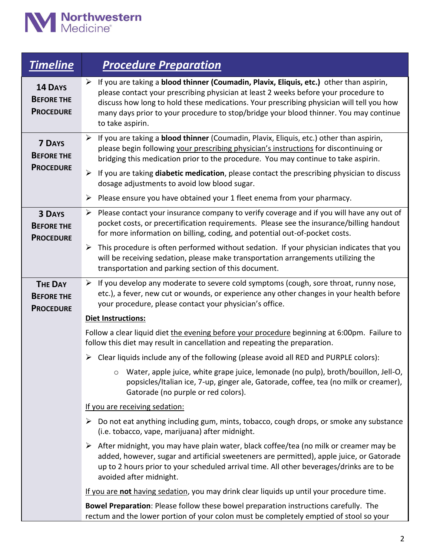

| <b>Timeline</b>                                         | <b>Procedure Preparation</b>                                                                                                                                                                                                                                                                                                                                                              |  |  |  |  |
|---------------------------------------------------------|-------------------------------------------------------------------------------------------------------------------------------------------------------------------------------------------------------------------------------------------------------------------------------------------------------------------------------------------------------------------------------------------|--|--|--|--|
| <b>14 DAYS</b><br><b>BEFORE THE</b><br><b>PROCEDURE</b> | > If you are taking a blood thinner (Coumadin, Plavix, Eliquis, etc.) other than aspirin,<br>please contact your prescribing physician at least 2 weeks before your procedure to<br>discuss how long to hold these medications. Your prescribing physician will tell you how<br>many days prior to your procedure to stop/bridge your blood thinner. You may continue<br>to take aspirin. |  |  |  |  |
| <b>7 DAYS</b><br><b>BEFORE THE</b>                      | $\triangleright$ If you are taking a <b>blood thinner</b> (Coumadin, Plavix, Eliquis, etc.) other than aspirin,<br>please begin following your prescribing physician's instructions for discontinuing or<br>bridging this medication prior to the procedure. You may continue to take aspirin.                                                                                            |  |  |  |  |
| <b>PROCEDURE</b>                                        | $\triangleright$ If you are taking <b>diabetic medication</b> , please contact the prescribing physician to discuss<br>dosage adjustments to avoid low blood sugar.                                                                                                                                                                                                                       |  |  |  |  |
|                                                         | Please ensure you have obtained your 1 fleet enema from your pharmacy.<br>➤                                                                                                                                                                                                                                                                                                               |  |  |  |  |
| <b>3 DAYS</b><br><b>BEFORE THE</b><br><b>PROCEDURE</b>  | $\triangleright$ Please contact your insurance company to verify coverage and if you will have any out of<br>pocket costs, or precertification requirements. Please see the insurance/billing handout<br>for more information on billing, coding, and potential out-of-pocket costs.                                                                                                      |  |  |  |  |
|                                                         | This procedure is often performed without sedation. If your physician indicates that you<br>➤<br>will be receiving sedation, please make transportation arrangements utilizing the<br>transportation and parking section of this document.                                                                                                                                                |  |  |  |  |
| <b>THE DAY</b><br><b>BEFORE THE</b><br><b>PROCEDURE</b> | $\triangleright$ If you develop any moderate to severe cold symptoms (cough, sore throat, runny nose,<br>etc.), a fever, new cut or wounds, or experience any other changes in your health before<br>your procedure, please contact your physician's office.                                                                                                                              |  |  |  |  |
|                                                         | <b>Diet Instructions:</b>                                                                                                                                                                                                                                                                                                                                                                 |  |  |  |  |
|                                                         | Follow a clear liquid diet the evening before your procedure beginning at 6:00pm. Failure to<br>follow this diet may result in cancellation and repeating the preparation.                                                                                                                                                                                                                |  |  |  |  |
|                                                         | Clear liquids include any of the following (please avoid all RED and PURPLE colors):<br>➤                                                                                                                                                                                                                                                                                                 |  |  |  |  |
|                                                         | Water, apple juice, white grape juice, lemonade (no pulp), broth/bouillon, Jell-O,<br>popsicles/Italian ice, 7-up, ginger ale, Gatorade, coffee, tea (no milk or creamer),<br>Gatorade (no purple or red colors).                                                                                                                                                                         |  |  |  |  |
|                                                         | If you are receiving sedation:                                                                                                                                                                                                                                                                                                                                                            |  |  |  |  |
|                                                         | $\triangleright$ Do not eat anything including gum, mints, tobacco, cough drops, or smoke any substance<br>(i.e. tobacco, vape, marijuana) after midnight.                                                                                                                                                                                                                                |  |  |  |  |
|                                                         | $\triangleright$ After midnight, you may have plain water, black coffee/tea (no milk or creamer may be<br>added, however, sugar and artificial sweeteners are permitted), apple juice, or Gatorade<br>up to 2 hours prior to your scheduled arrival time. All other beverages/drinks are to be<br>avoided after midnight.                                                                 |  |  |  |  |
|                                                         | If you are not having sedation, you may drink clear liquids up until your procedure time.                                                                                                                                                                                                                                                                                                 |  |  |  |  |
|                                                         | Bowel Preparation: Please follow these bowel preparation instructions carefully. The<br>rectum and the lower portion of your colon must be completely emptied of stool so your                                                                                                                                                                                                            |  |  |  |  |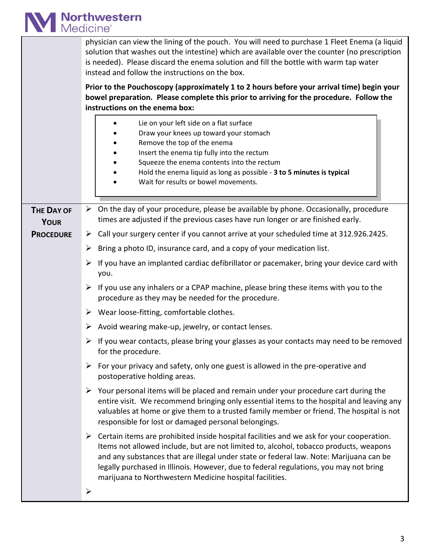

|                                 | physician can view the lining of the pouch. You will need to purchase 1 Fleet Enema (a liquid<br>solution that washes out the intestine) which are available over the counter (no prescription<br>is needed). Please discard the enema solution and fill the bottle with warm tap water<br>instead and follow the instructions on the box.<br>Prior to the Pouchoscopy (approximately 1 to 2 hours before your arrival time) begin your<br>bowel preparation. Please complete this prior to arriving for the procedure. Follow the<br>instructions on the enema box:<br>Lie on your left side on a flat surface<br>Draw your knees up toward your stomach<br>Remove the top of the enema<br>Insert the enema tip fully into the rectum<br>Squeeze the enema contents into the rectum<br>Hold the enema liquid as long as possible - 3 to 5 minutes is typical<br>Wait for results or bowel movements. |
|---------------------------------|-------------------------------------------------------------------------------------------------------------------------------------------------------------------------------------------------------------------------------------------------------------------------------------------------------------------------------------------------------------------------------------------------------------------------------------------------------------------------------------------------------------------------------------------------------------------------------------------------------------------------------------------------------------------------------------------------------------------------------------------------------------------------------------------------------------------------------------------------------------------------------------------------------|
| <b>THE DAY OF</b>               | $\triangleright$ On the day of your procedure, please be available by phone. Occasionally, procedure<br>times are adjusted if the previous cases have run longer or are finished early.                                                                                                                                                                                                                                                                                                                                                                                                                                                                                                                                                                                                                                                                                                               |
| <b>YOUR</b><br><b>PROCEDURE</b> | Call your surgery center if you cannot arrive at your scheduled time at 312.926.2425.<br>➤                                                                                                                                                                                                                                                                                                                                                                                                                                                                                                                                                                                                                                                                                                                                                                                                            |
|                                 | Bring a photo ID, insurance card, and a copy of your medication list.<br>➤                                                                                                                                                                                                                                                                                                                                                                                                                                                                                                                                                                                                                                                                                                                                                                                                                            |
|                                 | If you have an implanted cardiac defibrillator or pacemaker, bring your device card with<br>➤<br>you.                                                                                                                                                                                                                                                                                                                                                                                                                                                                                                                                                                                                                                                                                                                                                                                                 |
|                                 | $\triangleright$ If you use any inhalers or a CPAP machine, please bring these items with you to the<br>procedure as they may be needed for the procedure.                                                                                                                                                                                                                                                                                                                                                                                                                                                                                                                                                                                                                                                                                                                                            |
|                                 | $\triangleright$ Wear loose-fitting, comfortable clothes.                                                                                                                                                                                                                                                                                                                                                                                                                                                                                                                                                                                                                                                                                                                                                                                                                                             |
|                                 | Avoid wearing make-up, jewelry, or contact lenses.<br>➤                                                                                                                                                                                                                                                                                                                                                                                                                                                                                                                                                                                                                                                                                                                                                                                                                                               |
|                                 | $\triangleright$ If you wear contacts, please bring your glasses as your contacts may need to be removed<br>for the procedure.                                                                                                                                                                                                                                                                                                                                                                                                                                                                                                                                                                                                                                                                                                                                                                        |
|                                 | For your privacy and safety, only one guest is allowed in the pre-operative and<br>➤<br>postoperative holding areas.                                                                                                                                                                                                                                                                                                                                                                                                                                                                                                                                                                                                                                                                                                                                                                                  |
|                                 | $\triangleright$ Your personal items will be placed and remain under your procedure cart during the<br>entire visit. We recommend bringing only essential items to the hospital and leaving any<br>valuables at home or give them to a trusted family member or friend. The hospital is not<br>responsible for lost or damaged personal belongings.                                                                                                                                                                                                                                                                                                                                                                                                                                                                                                                                                   |
|                                 | $\triangleright$ Certain items are prohibited inside hospital facilities and we ask for your cooperation.<br>Items not allowed include, but are not limited to, alcohol, tobacco products, weapons<br>and any substances that are illegal under state or federal law. Note: Marijuana can be<br>legally purchased in Illinois. However, due to federal regulations, you may not bring<br>marijuana to Northwestern Medicine hospital facilities.                                                                                                                                                                                                                                                                                                                                                                                                                                                      |
|                                 | ⋗                                                                                                                                                                                                                                                                                                                                                                                                                                                                                                                                                                                                                                                                                                                                                                                                                                                                                                     |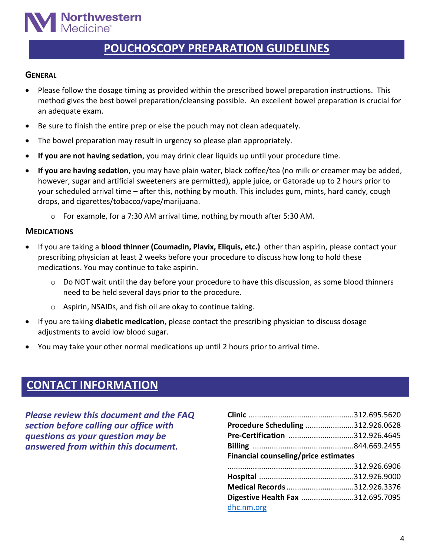

### **POUCHOSCOPY PREPARATION GUIDELINES**

#### **GENERAL**

- Please follow the dosage timing as provided within the prescribed bowel preparation instructions. This method gives the best bowel preparation/cleansing possible. An excellent bowel preparation is crucial for an adequate exam.
- Be sure to finish the entire prep or else the pouch may not clean adequately.
- The bowel preparation may result in urgency so please plan appropriately.
- **If you are not having sedation**, you may drink clear liquids up until your procedure time.
- **If you are having sedation**, you may have plain water, black coffee/tea (no milk or creamer may be added, however, sugar and artificial sweeteners are permitted), apple juice, or Gatorade up to 2 hours prior to your scheduled arrival time – after this, nothing by mouth. This includes gum, mints, hard candy, cough drops, and cigarettes/tobacco/vape/marijuana.
	- o For example, for a 7:30 AM arrival time, nothing by mouth after 5:30 AM.

#### **MEDICATIONS**

- If you are taking a **blood thinner (Coumadin, Plavix, Eliquis, etc.)** other than aspirin, please contact your prescribing physician at least 2 weeks before your procedure to discuss how long to hold these medications. You may continue to take aspirin.
	- $\circ$  Do NOT wait until the day before your procedure to have this discussion, as some blood thinners need to be held several days prior to the procedure.
	- o Aspirin, NSAIDs, and fish oil are okay to continue taking.
- If you are taking **diabetic medication**, please contact the prescribing physician to discuss dosage adjustments to avoid low blood sugar.
- You may take your other normal medications up until 2 hours prior to arrival time.

### **CONTACT INFORMATION**

*Please review this document and the FAQ section before calling our office with questions as your question may be answered from within this document.*

| Procedure Scheduling 312.926.0628    |  |  |  |  |
|--------------------------------------|--|--|--|--|
| Pre-Certification 312.926.4645       |  |  |  |  |
|                                      |  |  |  |  |
| Financial counseling/price estimates |  |  |  |  |
|                                      |  |  |  |  |
|                                      |  |  |  |  |
| Medical Records 312.926.3376         |  |  |  |  |
|                                      |  |  |  |  |
| Digestive Health Fax 312.695.7095    |  |  |  |  |